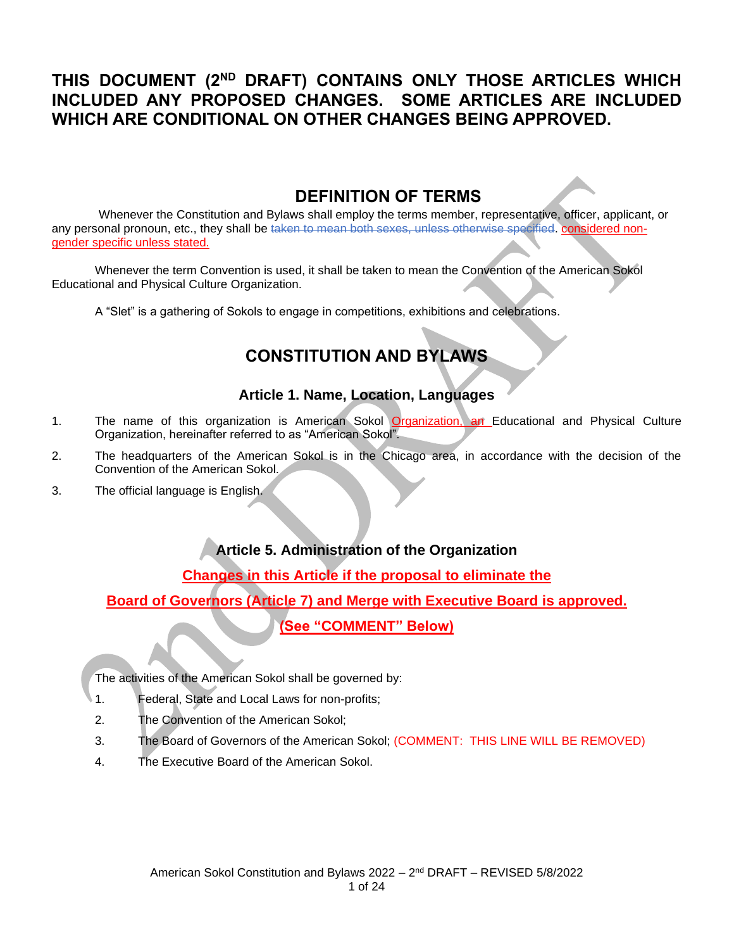## **THIS DOCUMENT (2ND DRAFT) CONTAINS ONLY THOSE ARTICLES WHICH INCLUDED ANY PROPOSED CHANGES. SOME ARTICLES ARE INCLUDED WHICH ARE CONDITIONAL ON OTHER CHANGES BEING APPROVED.**

## **DEFINITION OF TERMS**

Whenever the Constitution and Bylaws shall employ the terms member, representative, officer, applicant, or any personal pronoun, etc., they shall be taken to mean both sexes, unless otherwise specified. considered nongender specific unless stated.

Whenever the term Convention is used, it shall be taken to mean the Convention of the American Sokol Educational and Physical Culture Organization.

A "Slet" is a gathering of Sokols to engage in competitions, exhibitions and celebrations.

# **CONSTITUTION AND BYLAWS**

#### **Article 1. Name, Location, Languages**

- 1. The name of this organization is American Sokol Organization, an Educational and Physical Culture Organization, hereinafter referred to as "American Sokol".
- 2. The headquarters of the American Sokol is in the Chicago area, in accordance with the decision of the Convention of the American Sokol.
- 3. The official language is English.

## **Article 5. Administration of the Organization**

#### **Changes in this Article if the proposal to eliminate the**

**Board of Governors (Article 7) and Merge with Executive Board is approved.**

#### **(See "COMMENT" Below)**

The activities of the American Sokol shall be governed by:

- 1. Federal, State and Local Laws for non-profits;
- 2. The Convention of the American Sokol;
- 3. The Board of Governors of the American Sokol; (COMMENT: THIS LINE WILL BE REMOVED)
- 4. The Executive Board of the American Sokol.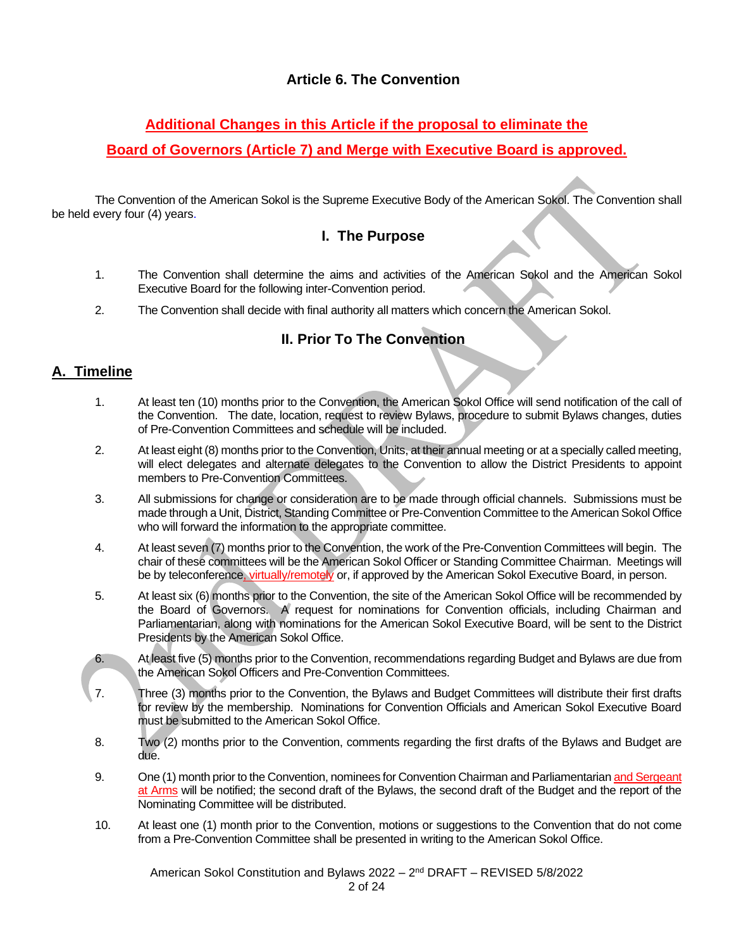## **Article 6. The Convention**

## **Additional Changes in this Article if the proposal to eliminate the**

#### **Board of Governors (Article 7) and Merge with Executive Board is approved.**

The Convention of the American Sokol is the Supreme Executive Body of the American Sokol. The Convention shall be held every four (4) years.

#### **I. The Purpose**

- 1. The Convention shall determine the aims and activities of the American Sokol and the American Sokol Executive Board for the following inter-Convention period.
- 2. The Convention shall decide with final authority all matters which concern the American Sokol.

## **II. Prior To The Convention**

#### **A. Timeline**

- 1. At least ten (10) months prior to the Convention, the American Sokol Office will send notification of the call of the Convention. The date, location, request to review Bylaws, procedure to submit Bylaws changes, duties of Pre-Convention Committees and schedule will be included.
- 2. At least eight (8) months prior to the Convention, Units, at their annual meeting or at a specially called meeting, will elect delegates and alternate delegates to the Convention to allow the District Presidents to appoint members to Pre-Convention Committees.
- 3. All submissions for change or consideration are to be made through official channels. Submissions must be made through a Unit, District, Standing Committee or Pre-Convention Committee to the American Sokol Office who will forward the information to the appropriate committee.
- 4. At least seven (7) months prior to the Convention, the work of the Pre-Convention Committees will begin. The chair of these committees will be the American Sokol Officer or Standing Committee Chairman. Meetings will be by teleconference, virtually/remotely or, if approved by the American Sokol Executive Board, in person.
- 5. At least six (6) months prior to the Convention, the site of the American Sokol Office will be recommended by the Board of Governors. A request for nominations for Convention officials, including Chairman and Parliamentarian, along with nominations for the American Sokol Executive Board, will be sent to the District Presidents by the American Sokol Office.
- 6. At least five (5) months prior to the Convention, recommendations regarding Budget and Bylaws are due from the American Sokol Officers and Pre-Convention Committees.
- 7. Three (3) months prior to the Convention, the Bylaws and Budget Committees will distribute their first drafts for review by the membership. Nominations for Convention Officials and American Sokol Executive Board must be submitted to the American Sokol Office.
- 8. Two (2) months prior to the Convention, comments regarding the first drafts of the Bylaws and Budget are due.
- 9. One (1) month prior to the Convention, nominees for Convention Chairman and Parliamentarian and Sergeant at Arms will be notified; the second draft of the Bylaws, the second draft of the Budget and the report of the Nominating Committee will be distributed.
- 10. At least one (1) month prior to the Convention, motions or suggestions to the Convention that do not come from a Pre-Convention Committee shall be presented in writing to the American Sokol Office.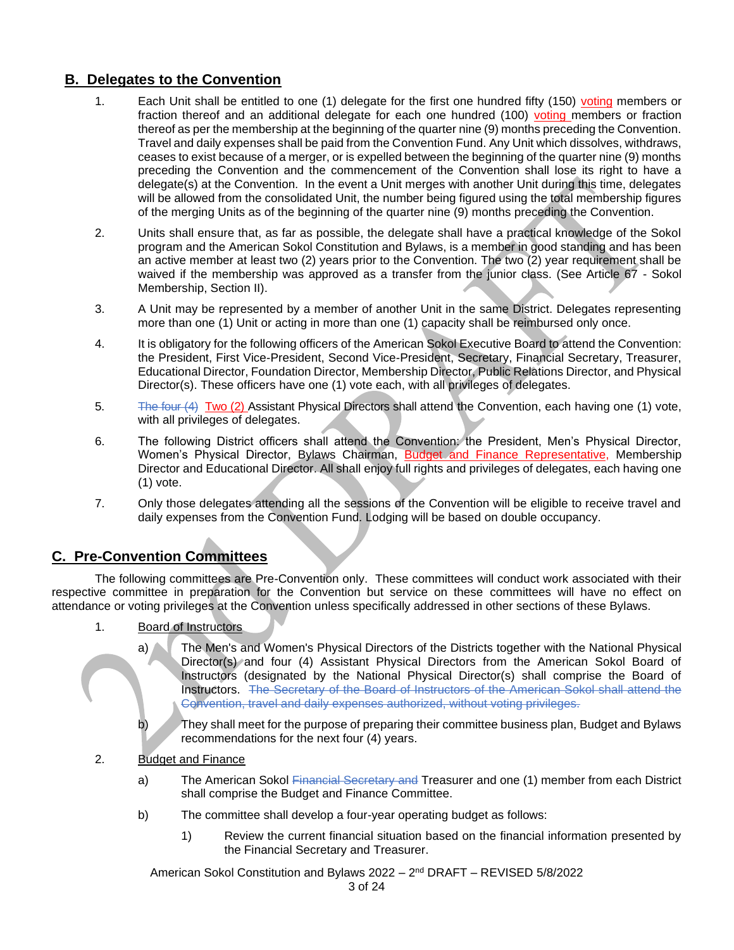#### **B. Delegates to the Convention**

- 1. Each Unit shall be entitled to one (1) delegate for the first one hundred fifty (150) voting members or fraction thereof and an additional delegate for each one hundred (100) voting members or fraction thereof as per the membership at the beginning of the quarter nine (9) months preceding the Convention. Travel and daily expenses shall be paid from the Convention Fund. Any Unit which dissolves, withdraws, ceases to exist because of a merger, or is expelled between the beginning of the quarter nine (9) months preceding the Convention and the commencement of the Convention shall lose its right to have a delegate(s) at the Convention. In the event a Unit merges with another Unit during this time, delegates will be allowed from the consolidated Unit, the number being figured using the total membership figures of the merging Units as of the beginning of the quarter nine (9) months preceding the Convention.
- 2. Units shall ensure that, as far as possible, the delegate shall have a practical knowledge of the Sokol program and the American Sokol Constitution and Bylaws, is a member in good standing and has been an active member at least two (2) years prior to the Convention. The two (2) year requirement shall be waived if the membership was approved as a transfer from the junior class. (See Article 67 - Sokol Membership, Section II).
- 3. A Unit may be represented by a member of another Unit in the same District. Delegates representing more than one (1) Unit or acting in more than one (1) capacity shall be reimbursed only once.
- 4. It is obligatory for the following officers of the American Sokol Executive Board to attend the Convention: the President, First Vice-President, Second Vice-President, Secretary, Financial Secretary, Treasurer, Educational Director, Foundation Director, Membership Director, Public Relations Director, and Physical Director(s). These officers have one (1) vote each, with all privileges of delegates.
- 5. The four (4) Two (2) Assistant Physical Directors shall attend the Convention, each having one (1) vote, with all privileges of delegates.
- 6. The following District officers shall attend the Convention: the President, Men's Physical Director, Women's Physical Director, Bylaws Chairman, Budget and Finance Representative, Membership Director and Educational Director. All shall enjoy full rights and privileges of delegates, each having one (1) vote.
- 7. Only those delegates attending all the sessions of the Convention will be eligible to receive travel and daily expenses from the Convention Fund. Lodging will be based on double occupancy.

## **C. Pre-Convention Committees**

The following committees are Pre-Convention only. These committees will conduct work associated with their respective committee in preparation for the Convention but service on these committees will have no effect on attendance or voting privileges at the Convention unless specifically addressed in other sections of these Bylaws.

- 1. **Board of Instructors** 
	- a) The Men's and Women's Physical Directors of the Districts together with the National Physical Director(s) and four (4) Assistant Physical Directors from the American Sokol Board of Instructors (designated by the National Physical Director(s) shall comprise the Board of Instructors. The Secretary of the Board of Instructors of the American Sokol shall attend the Convention, travel and daily expenses authorized, without voting privileges.
	- b) They shall meet for the purpose of preparing their committee business plan, Budget and Bylaws recommendations for the next four (4) years.
- 2. Budget and Finance
	- a) The American Sokol Financial Secretary and Treasurer and one (1) member from each District shall comprise the Budget and Finance Committee.
	- b) The committee shall develop a four-year operating budget as follows:
		- 1) Review the current financial situation based on the financial information presented by the Financial Secretary and Treasurer.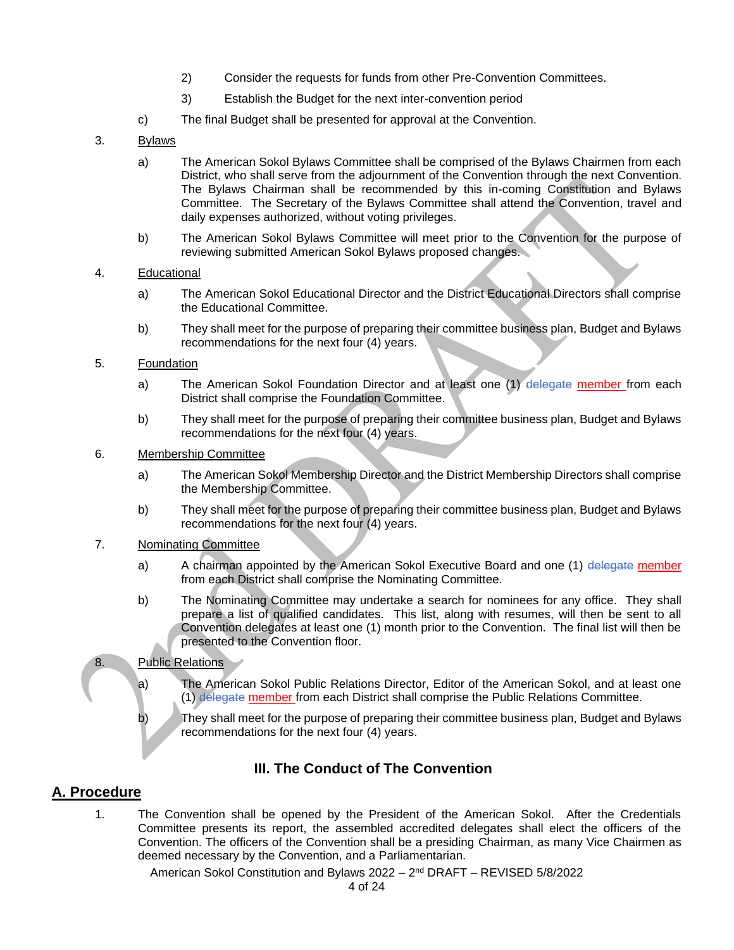- 2) Consider the requests for funds from other Pre-Convention Committees.
- 3) Establish the Budget for the next inter-convention period
- c) The final Budget shall be presented for approval at the Convention.
- 3. Bylaws
	- a) The American Sokol Bylaws Committee shall be comprised of the Bylaws Chairmen from each District, who shall serve from the adjournment of the Convention through the next Convention. The Bylaws Chairman shall be recommended by this in-coming Constitution and Bylaws Committee. The Secretary of the Bylaws Committee shall attend the Convention, travel and daily expenses authorized, without voting privileges.
	- b) The American Sokol Bylaws Committee will meet prior to the Convention for the purpose of reviewing submitted American Sokol Bylaws proposed changes.
- 4. Educational
	- a) The American Sokol Educational Director and the District Educational Directors shall comprise the Educational Committee.
	- b) They shall meet for the purpose of preparing their committee business plan, Budget and Bylaws recommendations for the next four (4) years.
- 5. Foundation
	- a) The American Sokol Foundation Director and at least one (1) delegate member from each District shall comprise the Foundation Committee.
	- b) They shall meet for the purpose of preparing their committee business plan, Budget and Bylaws recommendations for the next four (4) years.
- 6. Membership Committee
	- a) The American Sokol Membership Director and the District Membership Directors shall comprise the Membership Committee.
	- b) They shall meet for the purpose of preparing their committee business plan, Budget and Bylaws recommendations for the next four (4) years.
- 7. Nominating Committee
	- a) A chairman appointed by the American Sokol Executive Board and one (1) delegate member from each District shall comprise the Nominating Committee.
	- b) The Nominating Committee may undertake a search for nominees for any office. They shall prepare a list of qualified candidates. This list, along with resumes, will then be sent to all Convention delegates at least one (1) month prior to the Convention. The final list will then be presented to the Convention floor.

#### 8. Public Relations

- a) The American Sokol Public Relations Director, Editor of the American Sokol, and at least one (1) delegate member from each District shall comprise the Public Relations Committee.
- b) They shall meet for the purpose of preparing their committee business plan, Budget and Bylaws recommendations for the next four (4) years.

## **III. The Conduct of The Convention**

#### **A. Procedure**

1. The Convention shall be opened by the President of the American Sokol. After the Credentials Committee presents its report, the assembled accredited delegates shall elect the officers of the Convention. The officers of the Convention shall be a presiding Chairman, as many Vice Chairmen as deemed necessary by the Convention, and a Parliamentarian.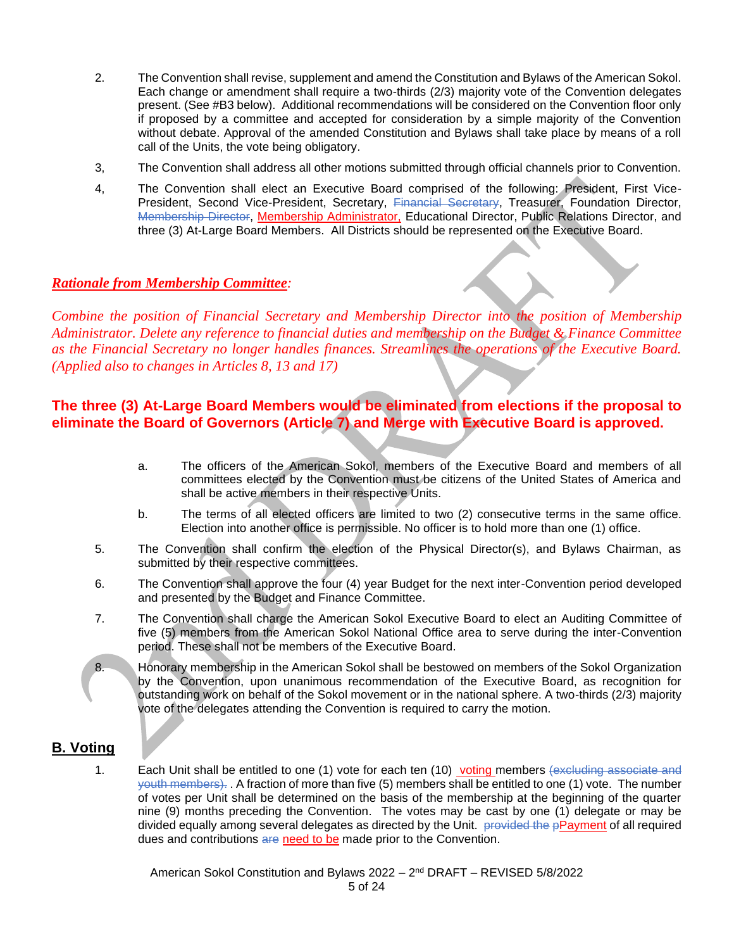- 2. The Convention shall revise, supplement and amend the Constitution and Bylaws of the American Sokol. Each change or amendment shall require a two-thirds (2/3) majority vote of the Convention delegates present. (See #B3 below). Additional recommendations will be considered on the Convention floor only if proposed by a committee and accepted for consideration by a simple majority of the Convention without debate. Approval of the amended Constitution and Bylaws shall take place by means of a roll call of the Units, the vote being obligatory.
- 3, The Convention shall address all other motions submitted through official channels prior to Convention.
- 4, The Convention shall elect an Executive Board comprised of the following: President, First Vice-President, Second Vice-President, Secretary, Financial Secretary, Treasurer, Foundation Director, Membership Director, Membership Administrator, Educational Director, Public Relations Director, and three (3) At-Large Board Members. All Districts should be represented on the Executive Board.

#### *Rationale from Membership Committee:*

*Combine the position of Financial Secretary and Membership Director into the position of Membership Administrator. Delete any reference to financial duties and membership on the Budget & Finance Committee as the Financial Secretary no longer handles finances. Streamlines the operations of the Executive Board. (Applied also to changes in Articles 8, 13 and 17)*

#### **The three (3) At-Large Board Members would be eliminated from elections if the proposal to eliminate the Board of Governors (Article 7) and Merge with Executive Board is approved.**

- a. The officers of the American Sokol, members of the Executive Board and members of all committees elected by the Convention must be citizens of the United States of America and shall be active members in their respective Units.
- b. The terms of all elected officers are limited to two (2) consecutive terms in the same office. Election into another office is permissible. No officer is to hold more than one (1) office.
- 5. The Convention shall confirm the election of the Physical Director(s), and Bylaws Chairman, as submitted by their respective committees.
- 6. The Convention shall approve the four (4) year Budget for the next inter-Convention period developed and presented by the Budget and Finance Committee.
- 7. The Convention shall charge the American Sokol Executive Board to elect an Auditing Committee of five (5) members from the American Sokol National Office area to serve during the inter-Convention period. These shall not be members of the Executive Board.
- 8. Honorary membership in the American Sokol shall be bestowed on members of the Sokol Organization by the Convention, upon unanimous recommendation of the Executive Board, as recognition for outstanding work on behalf of the Sokol movement or in the national sphere. A two-thirds (2/3) majority vote of the delegates attending the Convention is required to carry the motion.

#### **B. Voting**

1. Each Unit shall be entitled to one (1) vote for each ten (10) voting members (excluding associate and youth members). . A fraction of more than five (5) members shall be entitled to one (1) vote. The number of votes per Unit shall be determined on the basis of the membership at the beginning of the quarter nine (9) months preceding the Convention. The votes may be cast by one (1) delegate or may be divided equally among several delegates as directed by the Unit. provided the pPayment of all required dues and contributions are need to be made prior to the Convention.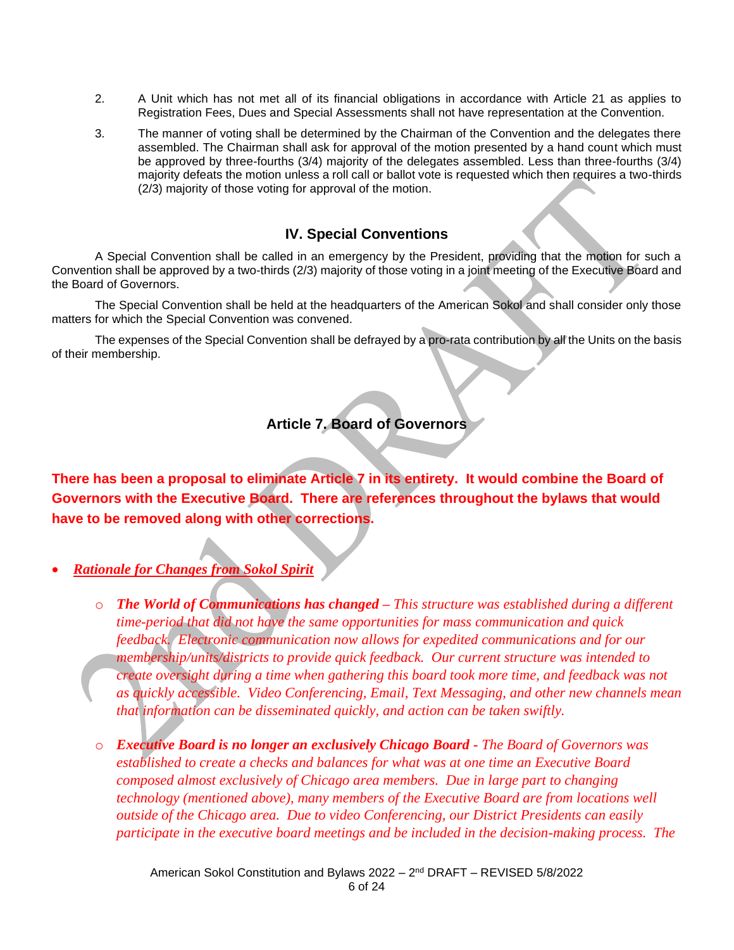- 2. A Unit which has not met all of its financial obligations in accordance with Article 21 as applies to Registration Fees, Dues and Special Assessments shall not have representation at the Convention.
- 3. The manner of voting shall be determined by the Chairman of the Convention and the delegates there assembled. The Chairman shall ask for approval of the motion presented by a hand count which must be approved by three-fourths (3/4) majority of the delegates assembled. Less than three-fourths (3/4) majority defeats the motion unless a roll call or ballot vote is requested which then requires a two-thirds (2/3) majority of those voting for approval of the motion.

#### **IV. Special Conventions**

A Special Convention shall be called in an emergency by the President, providing that the motion for such a Convention shall be approved by a two-thirds (2/3) majority of those voting in a joint meeting of the Executive Board and the Board of Governors.

The Special Convention shall be held at the headquarters of the American Sokol and shall consider only those matters for which the Special Convention was convened.

The expenses of the Special Convention shall be defrayed by a pro-rata contribution by all the Units on the basis of their membership.

#### **Article 7. Board of Governors**

**There has been a proposal to eliminate Article 7 in its entirety. It would combine the Board of Governors with the Executive Board. There are references throughout the bylaws that would have to be removed along with other corrections.** 

• *Rationale for Changes from Sokol Spirit*

- o *The World of Communications has changed – This structure was established during a different time-period that did not have the same opportunities for mass communication and quick feedback. Electronic communication now allows for expedited communications and for our membership/units/districts to provide quick feedback. Our current structure was intended to create oversight during a time when gathering this board took more time, and feedback was not as quickly accessible. Video Conferencing, Email, Text Messaging, and other new channels mean that information can be disseminated quickly, and action can be taken swiftly.*
- o *Executive Board is no longer an exclusively Chicago Board - The Board of Governors was established to create a checks and balances for what was at one time an Executive Board composed almost exclusively of Chicago area members. Due in large part to changing technology (mentioned above), many members of the Executive Board are from locations well outside of the Chicago area. Due to video Conferencing, our District Presidents can easily participate in the executive board meetings and be included in the decision-making process. The*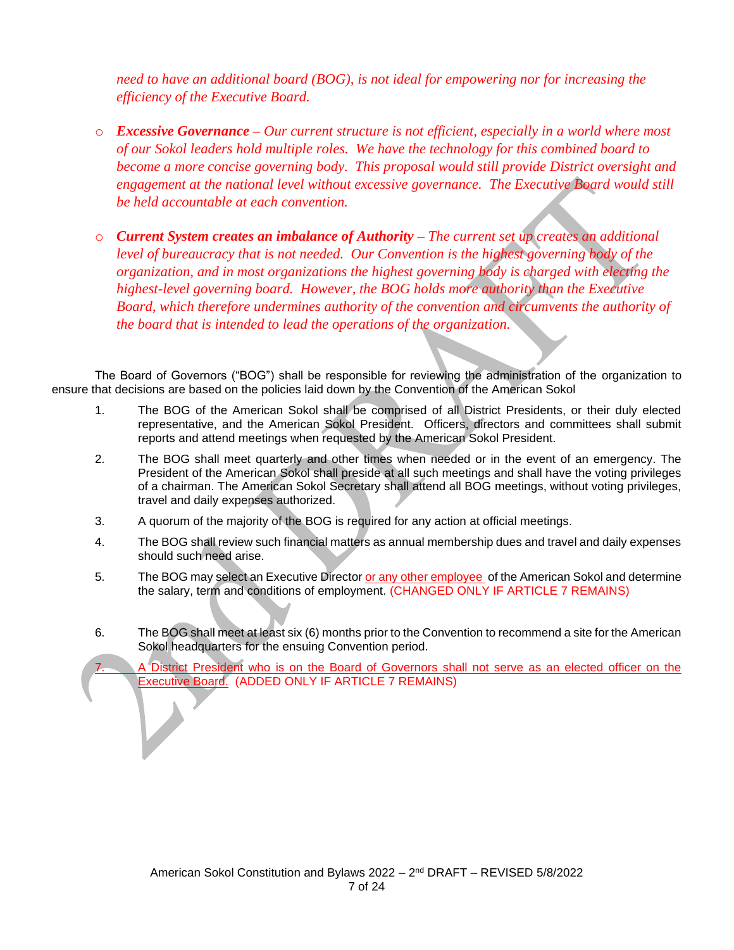*need to have an additional board (BOG), is not ideal for empowering nor for increasing the efficiency of the Executive Board.*

- o *Excessive Governance – Our current structure is not efficient, especially in a world where most of our Sokol leaders hold multiple roles. We have the technology for this combined board to become a more concise governing body. This proposal would still provide District oversight and engagement at the national level without excessive governance. The Executive Board would still be held accountable at each convention.*
- o *Current System creates an imbalance of Authority – The current set up creates an additional level of bureaucracy that is not needed. Our Convention is the highest governing body of the organization, and in most organizations the highest governing body is charged with electing the highest-level governing board. However, the BOG holds more authority than the Executive Board, which therefore undermines authority of the convention and circumvents the authority of the board that is intended to lead the operations of the organization.*

The Board of Governors ("BOG") shall be responsible for reviewing the administration of the organization to ensure that decisions are based on the policies laid down by the Convention of the American Sokol

- 1. The BOG of the American Sokol shall be comprised of all District Presidents, or their duly elected representative, and the American Sokol President. Officers, directors and committees shall submit reports and attend meetings when requested by the American Sokol President.
- 2. The BOG shall meet quarterly and other times when needed or in the event of an emergency. The President of the American Sokol shall preside at all such meetings and shall have the voting privileges of a chairman. The American Sokol Secretary shall attend all BOG meetings, without voting privileges, travel and daily expenses authorized.
- 3. A quorum of the majority of the BOG is required for any action at official meetings.
- 4. The BOG shall review such financial matters as annual membership dues and travel and daily expenses should such need arise.
- 5. The BOG may select an Executive Director or any other employee of the American Sokol and determine the salary, term and conditions of employment. (CHANGED ONLY IF ARTICLE 7 REMAINS)
- 6. The BOG shall meet at least six (6) months prior to the Convention to recommend a site for the American Sokol headquarters for the ensuing Convention period.

District President who is on the Board of Governors shall not serve as an elected officer on the Executive Board. (ADDED ONLY IF ARTICLE 7 REMAINS)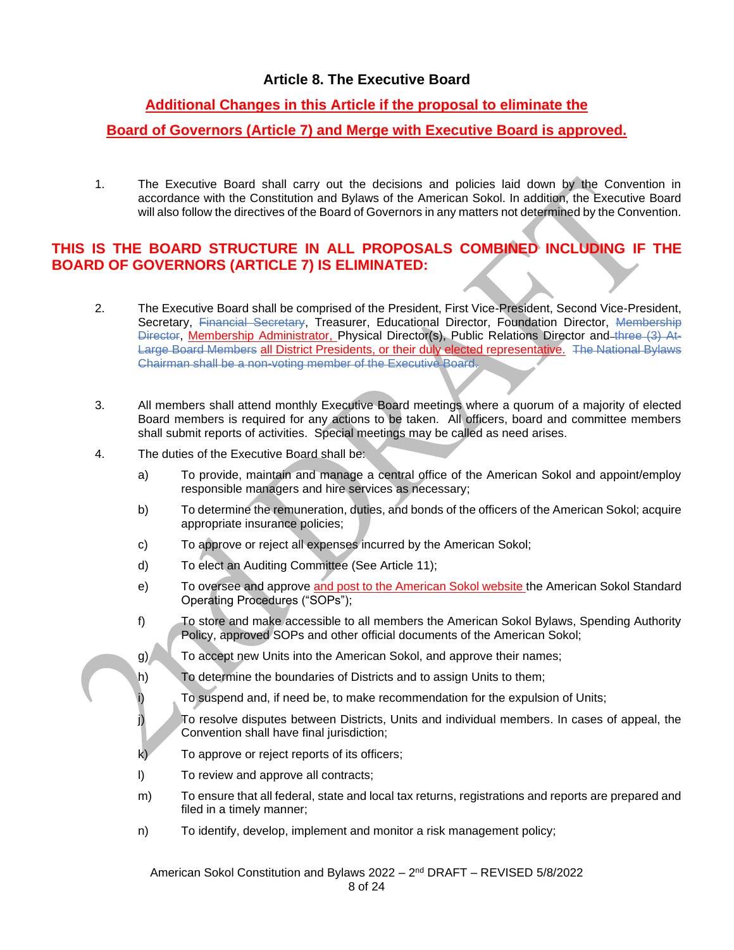## **Article 8. The Executive Board**

## **Additional Changes in this Article if the proposal to eliminate the**

### **Board of Governors (Article 7) and Merge with Executive Board is approved.**

1. The Executive Board shall carry out the decisions and policies laid down by the Convention in accordance with the Constitution and Bylaws of the American Sokol. In addition, the Executive Board will also follow the directives of the Board of Governors in any matters not determined by the Convention.

#### **THIS IS THE BOARD STRUCTURE IN ALL PROPOSALS COMBINED INCLUDING IF THE BOARD OF GOVERNORS (ARTICLE 7) IS ELIMINATED:**

- 2. The Executive Board shall be comprised of the President, First Vice-President, Second Vice-President, Secretary, Financial Secretary, Treasurer, Educational Director, Foundation Director, Membership Director, Membership Administrator, Physical Director(s), Public Relations Director and three (3) At-Large Board Members all District Presidents, or their duly elected representative. The National Bylaws Chairman shall be a non-voting member of the Executive Board.
- 3. All members shall attend monthly Executive Board meetings where a quorum of a majority of elected Board members is required for any actions to be taken. All officers, board and committee members shall submit reports of activities. Special meetings may be called as need arises.
- 4. The duties of the Executive Board shall be:
	- a) To provide, maintain and manage a central office of the American Sokol and appoint/employ responsible managers and hire services as necessary;
	- b) To determine the remuneration, duties, and bonds of the officers of the American Sokol; acquire appropriate insurance policies;
	- c) To approve or reject all expenses incurred by the American Sokol;
	- d) To elect an Auditing Committee (See Article 11);
	- e) To oversee and approve and post to the American Sokol website the American Sokol Standard Operating Procedures ("SOPs");
	- f) To store and make accessible to all members the American Sokol Bylaws, Spending Authority Policy, approved SOPs and other official documents of the American Sokol;
	- g) To accept new Units into the American Sokol, and approve their names;
	- h) To determine the boundaries of Districts and to assign Units to them;
	- i) To suspend and, if need be, to make recommendation for the expulsion of Units;
	- j) To resolve disputes between Districts, Units and individual members. In cases of appeal, the Convention shall have final jurisdiction;
	- k) To approve or reject reports of its officers;
	- l) To review and approve all contracts;
	- m) To ensure that all federal, state and local tax returns, registrations and reports are prepared and filed in a timely manner;
	- n) To identify, develop, implement and monitor a risk management policy;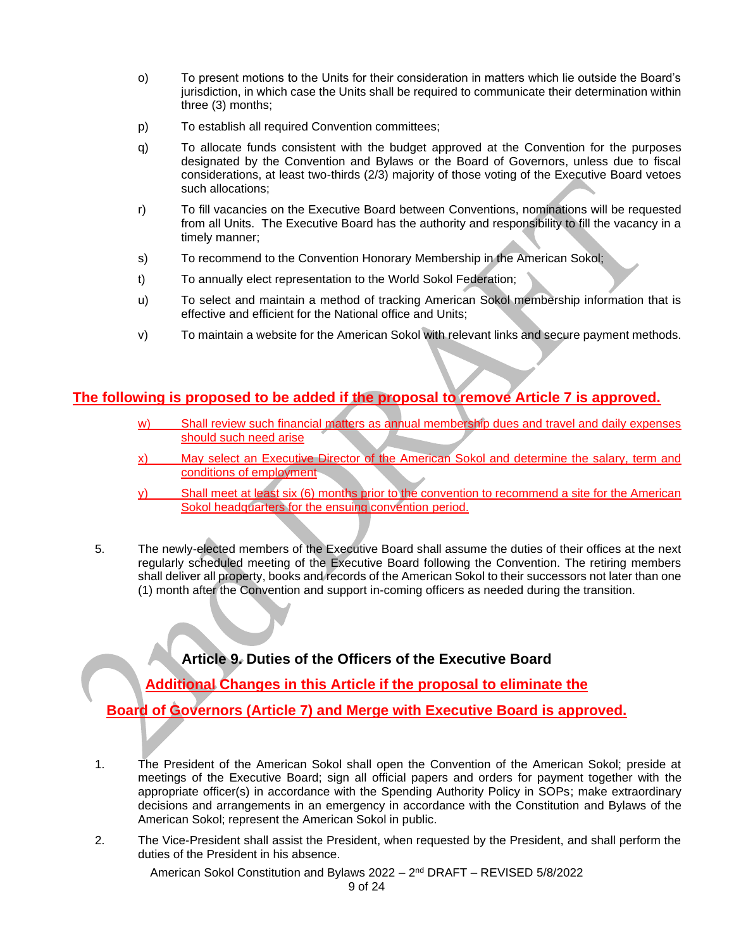- o) To present motions to the Units for their consideration in matters which lie outside the Board's jurisdiction, in which case the Units shall be required to communicate their determination within three (3) months;
- p) To establish all required Convention committees;
- q) To allocate funds consistent with the budget approved at the Convention for the purposes designated by the Convention and Bylaws or the Board of Governors, unless due to fiscal considerations, at least two-thirds (2/3) majority of those voting of the Executive Board vetoes such allocations;
- r) To fill vacancies on the Executive Board between Conventions, nominations will be requested from all Units. The Executive Board has the authority and responsibility to fill the vacancy in a timely manner;
- s) To recommend to the Convention Honorary Membership in the American Sokol;
- t) To annually elect representation to the World Sokol Federation;
- u) To select and maintain a method of tracking American Sokol membership information that is effective and efficient for the National office and Units;
- v) To maintain a website for the American Sokol with relevant links and secure payment methods.

#### **The following is proposed to be added if the proposal to remove Article 7 is approved.**

- w) Shall review such financial matters as annual membership dues and travel and daily expenses should such need arise
- x) May select an Executive Director of the American Sokol and determine the salary, term and conditions of employment
- y) Shall meet at least six (6) months prior to the convention to recommend a site for the American Sokol headquarters for the ensuing convention period.
- 5. The newly-elected members of the Executive Board shall assume the duties of their offices at the next regularly scheduled meeting of the Executive Board following the Convention. The retiring members shall deliver all property, books and records of the American Sokol to their successors not later than one (1) month after the Convention and support in-coming officers as needed during the transition.

**Article 9. Duties of the Officers of the Executive Board**

**Additional Changes in this Article if the proposal to eliminate the** 

**Board of Governors (Article 7) and Merge with Executive Board is approved.**

- 1. The President of the American Sokol shall open the Convention of the American Sokol; preside at meetings of the Executive Board; sign all official papers and orders for payment together with the appropriate officer(s) in accordance with the Spending Authority Policy in SOPs; make extraordinary decisions and arrangements in an emergency in accordance with the Constitution and Bylaws of the American Sokol; represent the American Sokol in public.
- 2. The Vice-President shall assist the President, when requested by the President, and shall perform the duties of the President in his absence.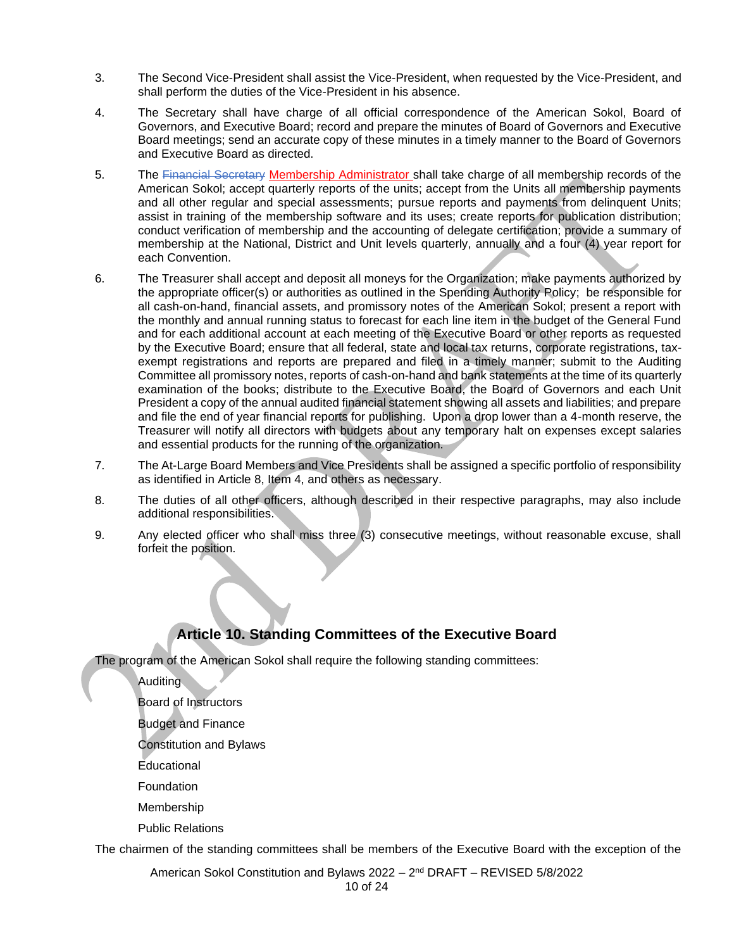- 3. The Second Vice-President shall assist the Vice-President, when requested by the Vice-President, and shall perform the duties of the Vice-President in his absence.
- 4. The Secretary shall have charge of all official correspondence of the American Sokol, Board of Governors, and Executive Board; record and prepare the minutes of Board of Governors and Executive Board meetings; send an accurate copy of these minutes in a timely manner to the Board of Governors and Executive Board as directed.
- 5. The Financial Secretary Membership Administrator shall take charge of all membership records of the American Sokol; accept quarterly reports of the units; accept from the Units all membership payments and all other regular and special assessments; pursue reports and payments from delinquent Units; assist in training of the membership software and its uses; create reports for publication distribution; conduct verification of membership and the accounting of delegate certification; provide a summary of membership at the National, District and Unit levels quarterly, annually and a four (4) year report for each Convention.
- 6. The Treasurer shall accept and deposit all moneys for the Organization; make payments authorized by the appropriate officer(s) or authorities as outlined in the Spending Authority Policy; be responsible for all cash-on-hand, financial assets, and promissory notes of the American Sokol; present a report with the monthly and annual running status to forecast for each line item in the budget of the General Fund and for each additional account at each meeting of the Executive Board or other reports as requested by the Executive Board; ensure that all federal, state and local tax returns, corporate registrations, taxexempt registrations and reports are prepared and filed in a timely manner; submit to the Auditing Committee all promissory notes, reports of cash-on-hand and bank statements at the time of its quarterly examination of the books; distribute to the Executive Board, the Board of Governors and each Unit President a copy of the annual audited financial statement showing all assets and liabilities; and prepare and file the end of year financial reports for publishing. Upon a drop lower than a 4-month reserve, the Treasurer will notify all directors with budgets about any temporary halt on expenses except salaries and essential products for the running of the organization.
- 7. The At-Large Board Members and Vice Presidents shall be assigned a specific portfolio of responsibility as identified in Article 8, Item 4, and others as necessary.
- 8. The duties of all other officers, although described in their respective paragraphs, may also include additional responsibilities.
- 9. Any elected officer who shall miss three (3) consecutive meetings, without reasonable excuse, shall forfeit the position.

## **Article 10. Standing Committees of the Executive Board**

The program of the American Sokol shall require the following standing committees:

Auditing

Board of Instructors

Budget and Finance

Constitution and Bylaws

Educational

Foundation

Membership

Public Relations

The chairmen of the standing committees shall be members of the Executive Board with the exception of the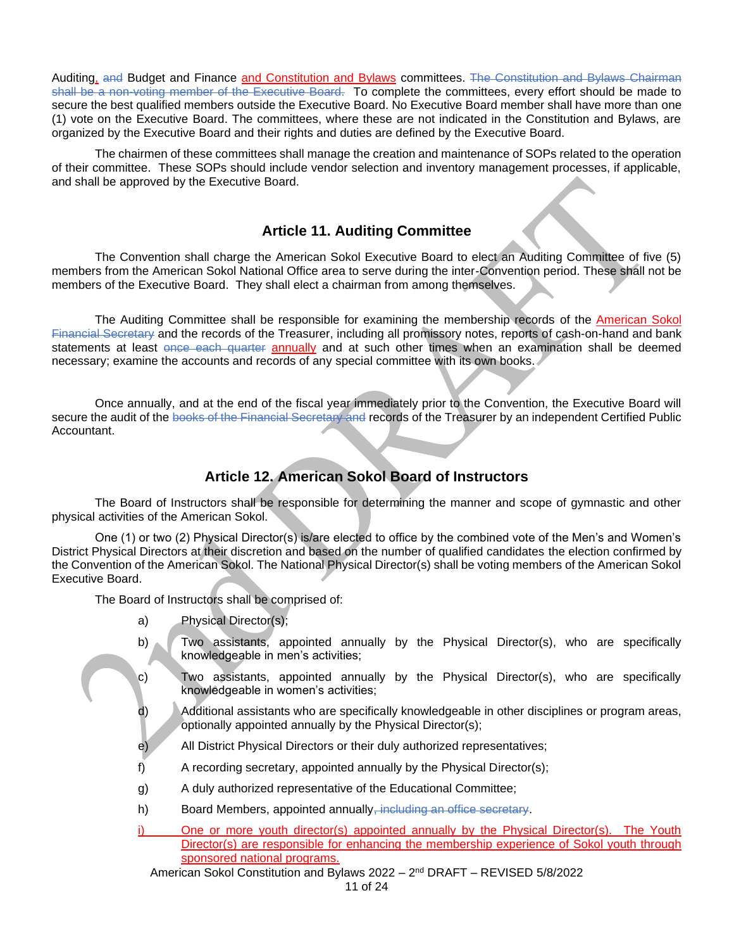Auditing, and Budget and Finance and Constitution and Bylaws committees. The Constitution and Bylaws Chairman shall be a non-voting member of the Executive Board. To complete the committees, every effort should be made to secure the best qualified members outside the Executive Board. No Executive Board member shall have more than one (1) vote on the Executive Board. The committees, where these are not indicated in the Constitution and Bylaws, are organized by the Executive Board and their rights and duties are defined by the Executive Board.

The chairmen of these committees shall manage the creation and maintenance of SOPs related to the operation of their committee. These SOPs should include vendor selection and inventory management processes, if applicable, and shall be approved by the Executive Board.

#### **Article 11. Auditing Committee**

The Convention shall charge the American Sokol Executive Board to elect an Auditing Committee of five (5) members from the American Sokol National Office area to serve during the inter-Convention period. These shall not be members of the Executive Board. They shall elect a chairman from among themselves.

The Auditing Committee shall be responsible for examining the membership records of the American Sokol Financial Secretary and the records of the Treasurer, including all promissory notes, reports of cash-on-hand and bank statements at least once each quarter annually and at such other times when an examination shall be deemed necessary; examine the accounts and records of any special committee with its own books.

Once annually, and at the end of the fiscal year immediately prior to the Convention, the Executive Board will secure the audit of the books of the Financial Secretary and records of the Treasurer by an independent Certified Public Accountant.

#### **Article 12. American Sokol Board of Instructors**

The Board of Instructors shall be responsible for determining the manner and scope of gymnastic and other physical activities of the American Sokol.

One (1) or two (2) Physical Director(s) is/are elected to office by the combined vote of the Men's and Women's District Physical Directors at their discretion and based on the number of qualified candidates the election confirmed by the Convention of the American Sokol. The National Physical Director(s) shall be voting members of the American Sokol Executive Board.

The Board of Instructors shall be comprised of:

- a) Physical Director(s);
- b) Two assistants, appointed annually by the Physical Director(s), who are specifically knowledgeable in men's activities;
- c) Two assistants, appointed annually by the Physical Director(s), who are specifically knowledgeable in women's activities;
- d) Additional assistants who are specifically knowledgeable in other disciplines or program areas, optionally appointed annually by the Physical Director(s);
- e) All District Physical Directors or their duly authorized representatives;
- f) A recording secretary, appointed annually by the Physical Director(s);
- g) A duly authorized representative of the Educational Committee;
- h) Board Members, appointed annually, including an office secretary.
- i) One or more youth director(s) appointed annually by the Physical Director(s). The Youth Director(s) are responsible for enhancing the membership experience of Sokol youth through sponsored national programs.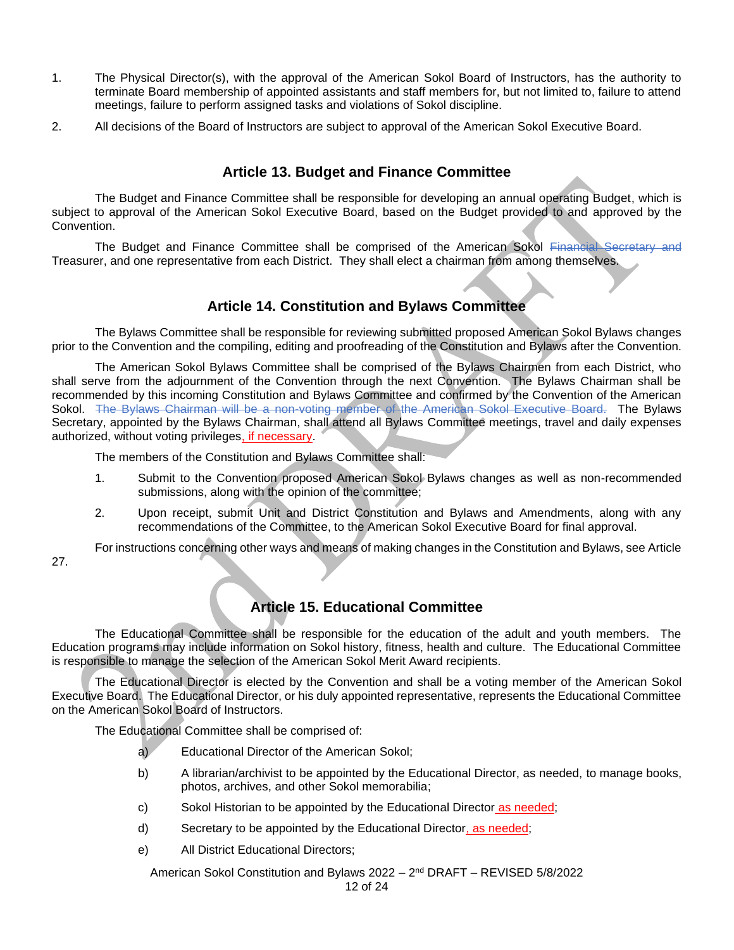- 1. The Physical Director(s), with the approval of the American Sokol Board of Instructors, has the authority to terminate Board membership of appointed assistants and staff members for, but not limited to, failure to attend meetings, failure to perform assigned tasks and violations of Sokol discipline.
- 2. All decisions of the Board of Instructors are subject to approval of the American Sokol Executive Board.

#### **Article 13. Budget and Finance Committee**

The Budget and Finance Committee shall be responsible for developing an annual operating Budget, which is subject to approval of the American Sokol Executive Board, based on the Budget provided to and approved by the Convention.

The Budget and Finance Committee shall be comprised of the American Sokol Financial Secretary and Treasurer, and one representative from each District. They shall elect a chairman from among themselves.

#### **Article 14. Constitution and Bylaws Committee**

The Bylaws Committee shall be responsible for reviewing submitted proposed American Sokol Bylaws changes prior to the Convention and the compiling, editing and proofreading of the Constitution and Bylaws after the Convention.

The American Sokol Bylaws Committee shall be comprised of the Bylaws Chairmen from each District, who shall serve from the adjournment of the Convention through the next Convention. The Bylaws Chairman shall be recommended by this incoming Constitution and Bylaws Committee and confirmed by the Convention of the American Sokol. The Bylaws Chairman will be a non-voting member of the American Sokol Executive Board. The Bylaws Secretary, appointed by the Bylaws Chairman, shall attend all Bylaws Committee meetings, travel and daily expenses authorized, without voting privileges, if necessary.

The members of the Constitution and Bylaws Committee shall:

- 1. Submit to the Convention proposed American Sokol Bylaws changes as well as non-recommended submissions, along with the opinion of the committee;
- 2. Upon receipt, submit Unit and District Constitution and Bylaws and Amendments, along with any recommendations of the Committee, to the American Sokol Executive Board for final approval.

For instructions concerning other ways and means of making changes in the Constitution and Bylaws, see Article

27.

## **Article 15. Educational Committee**

The Educational Committee shall be responsible for the education of the adult and youth members. The Education programs may include information on Sokol history, fitness, health and culture. The Educational Committee is responsible to manage the selection of the American Sokol Merit Award recipients.

The Educational Director is elected by the Convention and shall be a voting member of the American Sokol Executive Board. The Educational Director, or his duly appointed representative, represents the Educational Committee on the American Sokol Board of Instructors.

The Educational Committee shall be comprised of:

- a) Educational Director of the American Sokol;
- b) A librarian/archivist to be appointed by the Educational Director, as needed, to manage books, photos, archives, and other Sokol memorabilia;
- c) Sokol Historian to be appointed by the Educational Director as needed;
- d) Secretary to be appointed by the Educational Director, as needed;
- e) All District Educational Directors;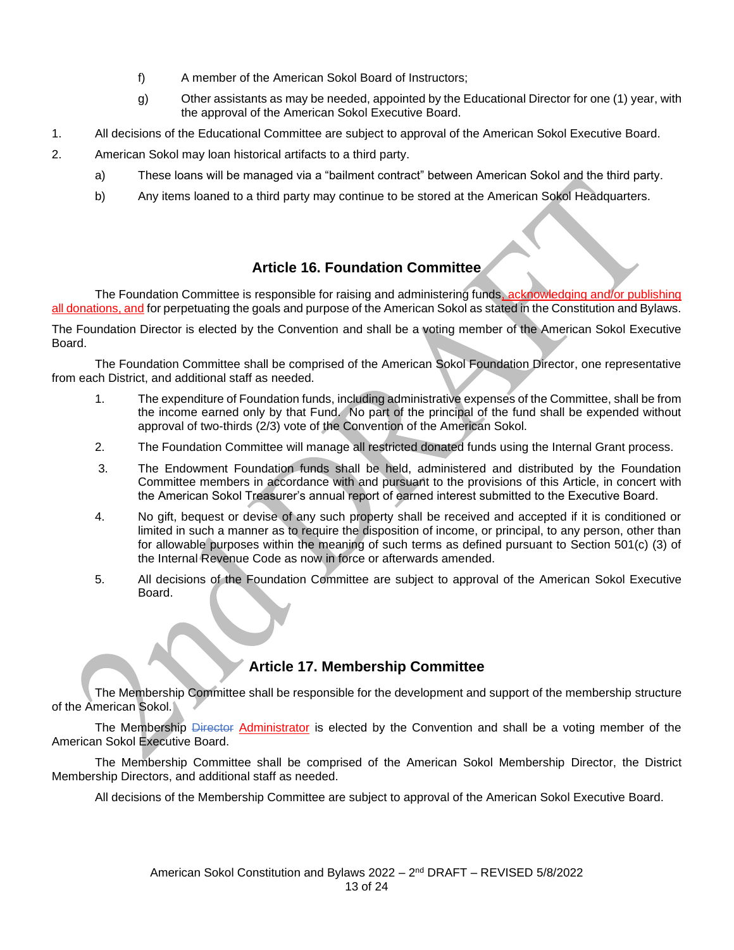- f) A member of the American Sokol Board of Instructors;
- g) Other assistants as may be needed, appointed by the Educational Director for one (1) year, with the approval of the American Sokol Executive Board.
- 1. All decisions of the Educational Committee are subject to approval of the American Sokol Executive Board.
- 2. American Sokol may loan historical artifacts to a third party.
	- a) These loans will be managed via a "bailment contract" between American Sokol and the third party.
	- b) Any items loaned to a third party may continue to be stored at the American Sokol Headquarters.

## **Article 16. Foundation Committee**

The Foundation Committee is responsible for raising and administering funds, acknowledging and/or publishing all donations, and for perpetuating the goals and purpose of the American Sokol as stated in the Constitution and Bylaws.

The Foundation Director is elected by the Convention and shall be a voting member of the American Sokol Executive Board.

The Foundation Committee shall be comprised of the American Sokol Foundation Director, one representative from each District, and additional staff as needed.

- 1. The expenditure of Foundation funds, including administrative expenses of the Committee, shall be from the income earned only by that Fund. No part of the principal of the fund shall be expended without approval of two-thirds (2/3) vote of the Convention of the American Sokol.
- 2. The Foundation Committee will manage all restricted donated funds using the Internal Grant process.
- 3. The Endowment Foundation funds shall be held, administered and distributed by the Foundation Committee members in accordance with and pursuant to the provisions of this Article, in concert with the American Sokol Treasurer's annual report of earned interest submitted to the Executive Board.
- 4. No gift, bequest or devise of any such property shall be received and accepted if it is conditioned or limited in such a manner as to require the disposition of income, or principal, to any person, other than for allowable purposes within the meaning of such terms as defined pursuant to Section 501(c) (3) of the Internal Revenue Code as now in force or afterwards amended.
- 5. All decisions of the Foundation Committee are subject to approval of the American Sokol Executive Board.

## **Article 17. Membership Committee**

The Membership Committee shall be responsible for the development and support of the membership structure of the American Sokol.

The Membership Director Administrator is elected by the Convention and shall be a voting member of the American Sokol Executive Board.

The Membership Committee shall be comprised of the American Sokol Membership Director, the District Membership Directors, and additional staff as needed.

All decisions of the Membership Committee are subject to approval of the American Sokol Executive Board.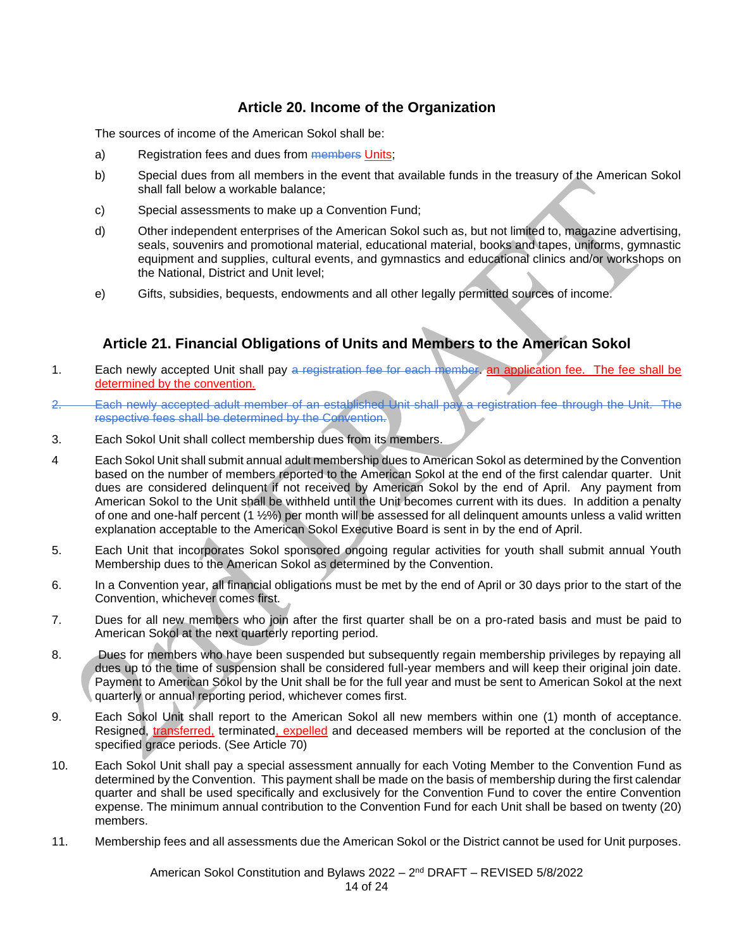#### **Article 20. Income of the Organization**

The sources of income of the American Sokol shall be:

- a) Registration fees and dues from members Units;
- b) Special dues from all members in the event that available funds in the treasury of the American Sokol shall fall below a workable balance;
- c) Special assessments to make up a Convention Fund;
- d) Other independent enterprises of the American Sokol such as, but not limited to, magazine advertising, seals, souvenirs and promotional material, educational material, books and tapes, uniforms, gymnastic equipment and supplies, cultural events, and gymnastics and educational clinics and/or workshops on the National, District and Unit level;
- e) Gifts, subsidies, bequests, endowments and all other legally permitted sources of income.

#### **Article 21. Financial Obligations of Units and Members to the American Sokol**

- 1. Each newly accepted Unit shall pay a registration fee for each member, an application fee. The fee shall be determined by the convention.
- 2. Each newly accepted adult member of an established Unit shall pay a registration fee through the Unit. The respective fees shall be determined by the Convention.
- 3. Each Sokol Unit shall collect membership dues from its members.
- 4 Each Sokol Unit shall submit annual adult membership dues to American Sokol as determined by the Convention based on the number of members reported to the American Sokol at the end of the first calendar quarter. Unit dues are considered delinquent if not received by American Sokol by the end of April. Any payment from American Sokol to the Unit shall be withheld until the Unit becomes current with its dues. In addition a penalty of one and one-half percent (1 ½%) per month will be assessed for all delinquent amounts unless a valid written explanation acceptable to the American Sokol Executive Board is sent in by the end of April.
- 5. Each Unit that incorporates Sokol sponsored ongoing regular activities for youth shall submit annual Youth Membership dues to the American Sokol as determined by the Convention.
- 6. In a Convention year, all financial obligations must be met by the end of April or 30 days prior to the start of the Convention, whichever comes first.
- 7. Dues for all new members who join after the first quarter shall be on a pro-rated basis and must be paid to American Sokol at the next quarterly reporting period.
- 8. Dues for members who have been suspended but subsequently regain membership privileges by repaying all dues up to the time of suspension shall be considered full-year members and will keep their original join date. Payment to American Sokol by the Unit shall be for the full year and must be sent to American Sokol at the next quarterly or annual reporting period, whichever comes first.
- 9. Each Sokol Unit shall report to the American Sokol all new members within one (1) month of acceptance. Resigned, transferred, terminated, expelled and deceased members will be reported at the conclusion of the specified grace periods. (See Article 70)
- 10. Each Sokol Unit shall pay a special assessment annually for each Voting Member to the Convention Fund as determined by the Convention. This payment shall be made on the basis of membership during the first calendar quarter and shall be used specifically and exclusively for the Convention Fund to cover the entire Convention expense. The minimum annual contribution to the Convention Fund for each Unit shall be based on twenty (20) members.
- 11. Membership fees and all assessments due the American Sokol or the District cannot be used for Unit purposes.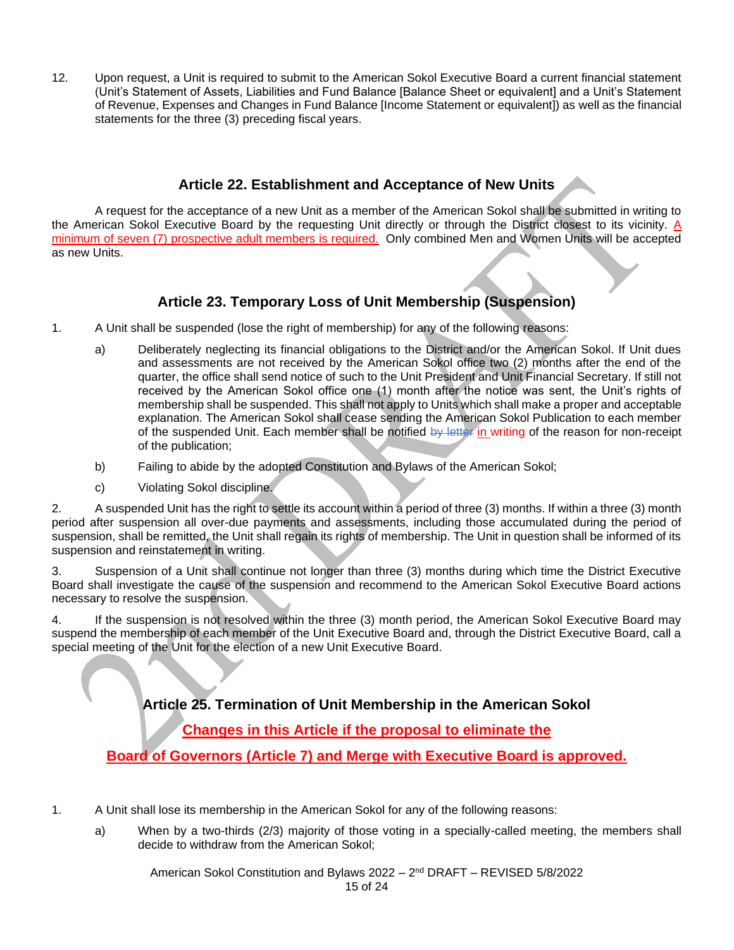12. Upon request, a Unit is required to submit to the American Sokol Executive Board a current financial statement (Unit's Statement of Assets, Liabilities and Fund Balance [Balance Sheet or equivalent] and a Unit's Statement of Revenue, Expenses and Changes in Fund Balance [Income Statement or equivalent]) as well as the financial statements for the three (3) preceding fiscal years.

#### **Article 22. Establishment and Acceptance of New Units**

A request for the acceptance of a new Unit as a member of the American Sokol shall be submitted in writing to the American Sokol Executive Board by the requesting Unit directly or through the District closest to its vicinity. A minimum of seven (7) prospective adult members is required. Only combined Men and Women Units will be accepted as new Units.

## **Article 23. Temporary Loss of Unit Membership (Suspension)**

- 1. A Unit shall be suspended (lose the right of membership) for any of the following reasons:
	- a) Deliberately neglecting its financial obligations to the District and/or the American Sokol. If Unit dues and assessments are not received by the American Sokol office two (2) months after the end of the quarter, the office shall send notice of such to the Unit President and Unit Financial Secretary. If still not received by the American Sokol office one (1) month after the notice was sent, the Unit's rights of membership shall be suspended. This shall not apply to Units which shall make a proper and acceptable explanation. The American Sokol shall cease sending the American Sokol Publication to each member of the suspended Unit. Each member shall be notified by letter in writing of the reason for non-receipt of the publication;
	- b) Failing to abide by the adopted Constitution and Bylaws of the American Sokol;
	- c) Violating Sokol discipline.

2. A suspended Unit has the right to settle its account within a period of three (3) months. If within a three (3) month period after suspension all over-due payments and assessments, including those accumulated during the period of suspension, shall be remitted, the Unit shall regain its rights of membership. The Unit in question shall be informed of its suspension and reinstatement in writing.

3. Suspension of a Unit shall continue not longer than three (3) months during which time the District Executive Board shall investigate the cause of the suspension and recommend to the American Sokol Executive Board actions necessary to resolve the suspension.

4. If the suspension is not resolved within the three (3) month period, the American Sokol Executive Board may suspend the membership of each member of the Unit Executive Board and, through the District Executive Board, call a special meeting of the Unit for the election of a new Unit Executive Board.

**Article 25. Termination of Unit Membership in the American Sokol**

**Changes in this Article if the proposal to eliminate the** 

**Board of Governors (Article 7) and Merge with Executive Board is approved.**

- 1. A Unit shall lose its membership in the American Sokol for any of the following reasons:
	- a) When by a two-thirds (2/3) majority of those voting in a specially-called meeting, the members shall decide to withdraw from the American Sokol;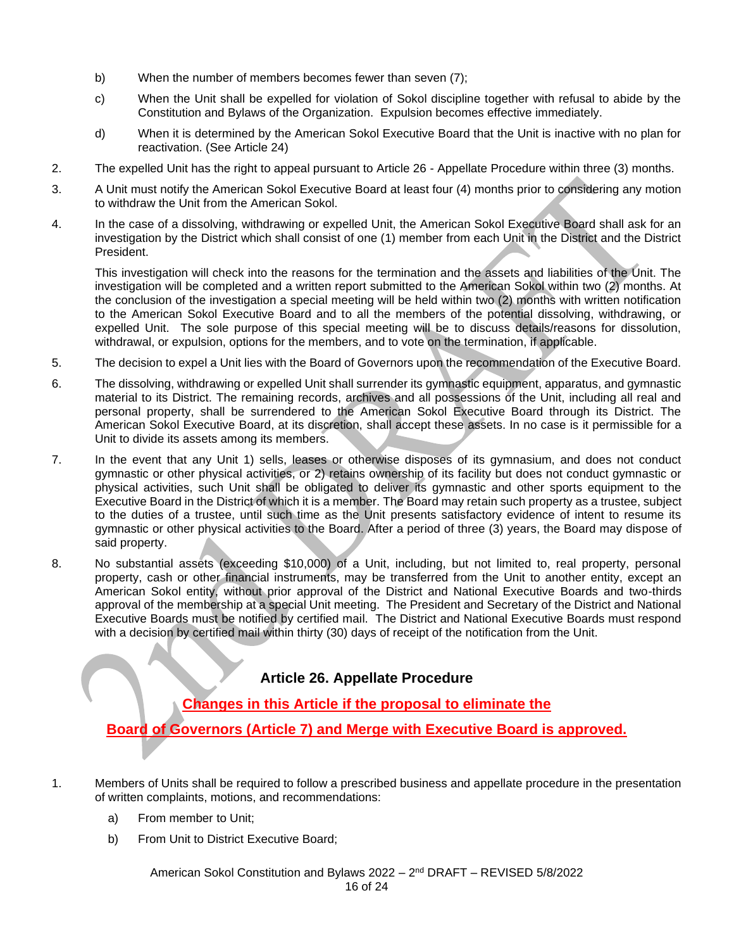- b) When the number of members becomes fewer than seven (7);
- c) When the Unit shall be expelled for violation of Sokol discipline together with refusal to abide by the Constitution and Bylaws of the Organization. Expulsion becomes effective immediately.
- d) When it is determined by the American Sokol Executive Board that the Unit is inactive with no plan for reactivation. (See Article 24)
- 2. The expelled Unit has the right to appeal pursuant to Article 26 Appellate Procedure within three (3) months.
- 3. A Unit must notify the American Sokol Executive Board at least four (4) months prior to considering any motion to withdraw the Unit from the American Sokol.
- 4. In the case of a dissolving, withdrawing or expelled Unit, the American Sokol Executive Board shall ask for an investigation by the District which shall consist of one (1) member from each Unit in the District and the District President.

This investigation will check into the reasons for the termination and the assets and liabilities of the Unit. The investigation will be completed and a written report submitted to the American Sokol within two (2) months. At the conclusion of the investigation a special meeting will be held within two (2) months with written notification to the American Sokol Executive Board and to all the members of the potential dissolving, withdrawing, or expelled Unit. The sole purpose of this special meeting will be to discuss details/reasons for dissolution, withdrawal, or expulsion, options for the members, and to vote on the termination, if applicable.

- 5. The decision to expel a Unit lies with the Board of Governors upon the recommendation of the Executive Board.
- 6. The dissolving, withdrawing or expelled Unit shall surrender its gymnastic equipment, apparatus, and gymnastic material to its District. The remaining records, archives and all possessions of the Unit, including all real and personal property, shall be surrendered to the American Sokol Executive Board through its District. The American Sokol Executive Board, at its discretion, shall accept these assets. In no case is it permissible for a Unit to divide its assets among its members.
- 7. In the event that any Unit 1) sells, leases or otherwise disposes of its gymnasium, and does not conduct gymnastic or other physical activities, or 2) retains ownership of its facility but does not conduct gymnastic or physical activities, such Unit shall be obligated to deliver its gymnastic and other sports equipment to the Executive Board in the District of which it is a member. The Board may retain such property as a trustee, subject to the duties of a trustee, until such time as the Unit presents satisfactory evidence of intent to resume its gymnastic or other physical activities to the Board. After a period of three (3) years, the Board may dispose of said property.
- 8. No substantial assets (exceeding \$10,000) of a Unit, including, but not limited to, real property, personal property, cash or other financial instruments, may be transferred from the Unit to another entity, except an American Sokol entity, without prior approval of the District and National Executive Boards and two-thirds approval of the membership at a special Unit meeting. The President and Secretary of the District and National Executive Boards must be notified by certified mail. The District and National Executive Boards must respond with a decision by certified mail within thirty (30) days of receipt of the notification from the Unit.

#### **Article 26. Appellate Procedure**

**Changes in this Article if the proposal to eliminate the** 

**Board of Governors (Article 7) and Merge with Executive Board is approved.**

- 1. Members of Units shall be required to follow a prescribed business and appellate procedure in the presentation of written complaints, motions, and recommendations:
	- a) From member to Unit;
	- b) From Unit to District Executive Board;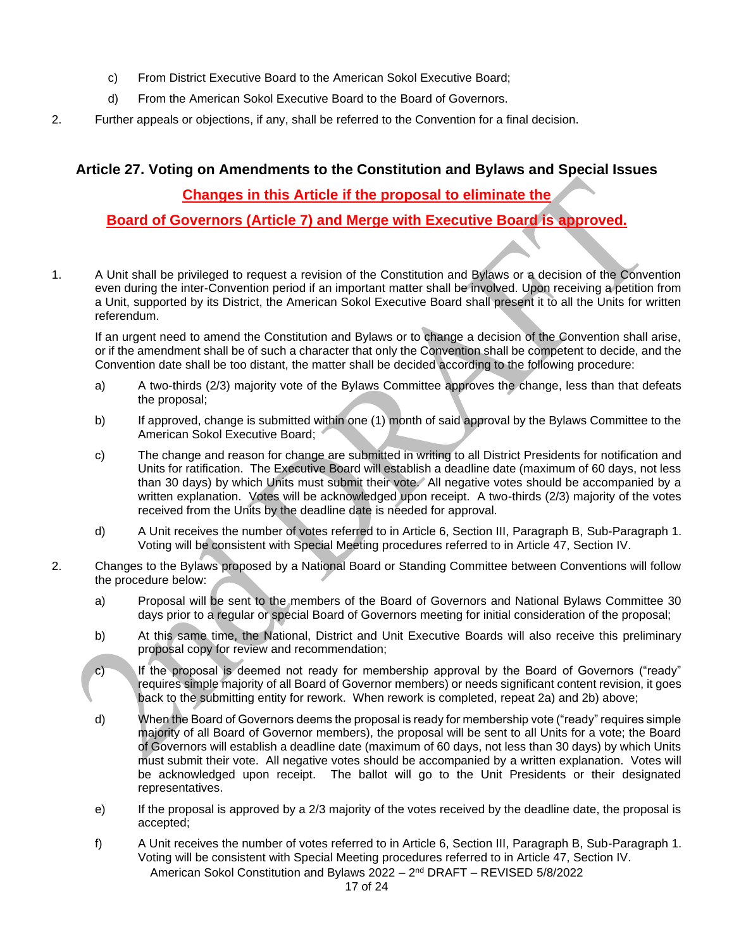- c) From District Executive Board to the American Sokol Executive Board;
- d) From the American Sokol Executive Board to the Board of Governors.
- 2. Further appeals or objections, if any, shall be referred to the Convention for a final decision.

#### **Article 27. Voting on Amendments to the Constitution and Bylaws and Special Issues**

#### **Changes in this Article if the proposal to eliminate the**

**Board of Governors (Article 7) and Merge with Executive Board is approved.**

1. A Unit shall be privileged to request a revision of the Constitution and Bylaws or a decision of the Convention even during the inter-Convention period if an important matter shall be involved. Upon receiving a petition from a Unit, supported by its District, the American Sokol Executive Board shall present it to all the Units for written referendum.

If an urgent need to amend the Constitution and Bylaws or to change a decision of the Convention shall arise, or if the amendment shall be of such a character that only the Convention shall be competent to decide, and the Convention date shall be too distant, the matter shall be decided according to the following procedure:

- a) A two-thirds (2/3) majority vote of the Bylaws Committee approves the change, less than that defeats the proposal;
- b) If approved, change is submitted within one (1) month of said approval by the Bylaws Committee to the American Sokol Executive Board;
- c) The change and reason for change are submitted in writing to all District Presidents for notification and Units for ratification. The Executive Board will establish a deadline date (maximum of 60 days, not less than 30 days) by which Units must submit their vote. All negative votes should be accompanied by a written explanation. Votes will be acknowledged upon receipt. A two-thirds (2/3) majority of the votes received from the Units by the deadline date is needed for approval.
- d) A Unit receives the number of votes referred to in Article 6, Section III, Paragraph B, Sub-Paragraph 1. Voting will be consistent with Special Meeting procedures referred to in Article 47, Section IV.
- 2. Changes to the Bylaws proposed by a National Board or Standing Committee between Conventions will follow the procedure below:
	- a) Proposal will be sent to the members of the Board of Governors and National Bylaws Committee 30 days prior to a regular or special Board of Governors meeting for initial consideration of the proposal;
	- b) At this same time, the National, District and Unit Executive Boards will also receive this preliminary proposal copy for review and recommendation;
	- c) If the proposal is deemed not ready for membership approval by the Board of Governors ("ready" requires simple majority of all Board of Governor members) or needs significant content revision, it goes back to the submitting entity for rework. When rework is completed, repeat 2a) and 2b) above;
	- d) When the Board of Governors deems the proposal is ready for membership vote ("ready" requires simple majority of all Board of Governor members), the proposal will be sent to all Units for a vote; the Board of Governors will establish a deadline date (maximum of 60 days, not less than 30 days) by which Units must submit their vote. All negative votes should be accompanied by a written explanation. Votes will be acknowledged upon receipt. The ballot will go to the Unit Presidents or their designated representatives.
	- e) If the proposal is approved by a 2/3 majority of the votes received by the deadline date, the proposal is accepted;
	- f) A Unit receives the number of votes referred to in Article 6, Section III, Paragraph B, Sub-Paragraph 1. Voting will be consistent with Special Meeting procedures referred to in Article 47, Section IV.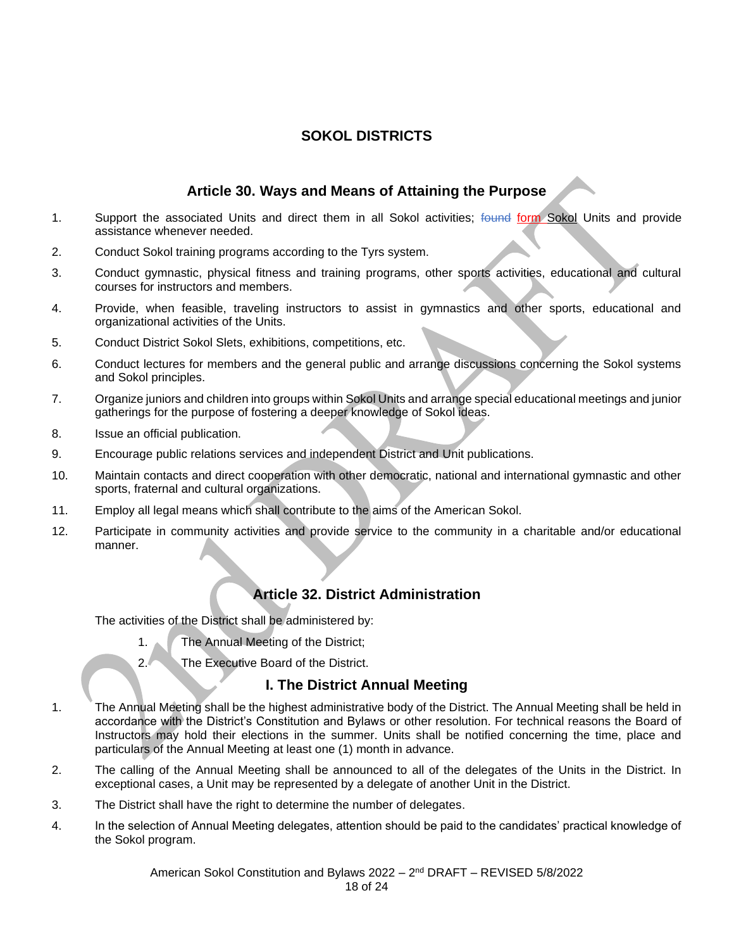## **SOKOL DISTRICTS**

### **Article 30. Ways and Means of Attaining the Purpose**

- 1. Support the associated Units and direct them in all Sokol activities; found form Sokol Units and provide assistance whenever needed.
- 2. Conduct Sokol training programs according to the Tyrs system.
- 3. Conduct gymnastic, physical fitness and training programs, other sports activities, educational and cultural courses for instructors and members.
- 4. Provide, when feasible, traveling instructors to assist in gymnastics and other sports, educational and organizational activities of the Units.
- 5. Conduct District Sokol Slets, exhibitions, competitions, etc.
- 6. Conduct lectures for members and the general public and arrange discussions concerning the Sokol systems and Sokol principles.
- 7. Organize juniors and children into groups within Sokol Units and arrange special educational meetings and junior gatherings for the purpose of fostering a deeper knowledge of Sokol ideas.
- 8. Issue an official publication.
- 9. Encourage public relations services and independent District and Unit publications.
- 10. Maintain contacts and direct cooperation with other democratic, national and international gymnastic and other sports, fraternal and cultural organizations.
- 11. Employ all legal means which shall contribute to the aims of the American Sokol.
- 12. Participate in community activities and provide service to the community in a charitable and/or educational manner.

#### **Article 32. District Administration**

The activities of the District shall be administered by:

- 1. The Annual Meeting of the District:
- 2. The Executive Board of the District.

#### **I. The District Annual Meeting**

- 1. The Annual Meeting shall be the highest administrative body of the District. The Annual Meeting shall be held in accordance with the District's Constitution and Bylaws or other resolution. For technical reasons the Board of Instructors may hold their elections in the summer. Units shall be notified concerning the time, place and particulars of the Annual Meeting at least one (1) month in advance.
- 2. The calling of the Annual Meeting shall be announced to all of the delegates of the Units in the District. In exceptional cases, a Unit may be represented by a delegate of another Unit in the District.
- 3. The District shall have the right to determine the number of delegates.
- 4. In the selection of Annual Meeting delegates, attention should be paid to the candidates' practical knowledge of the Sokol program.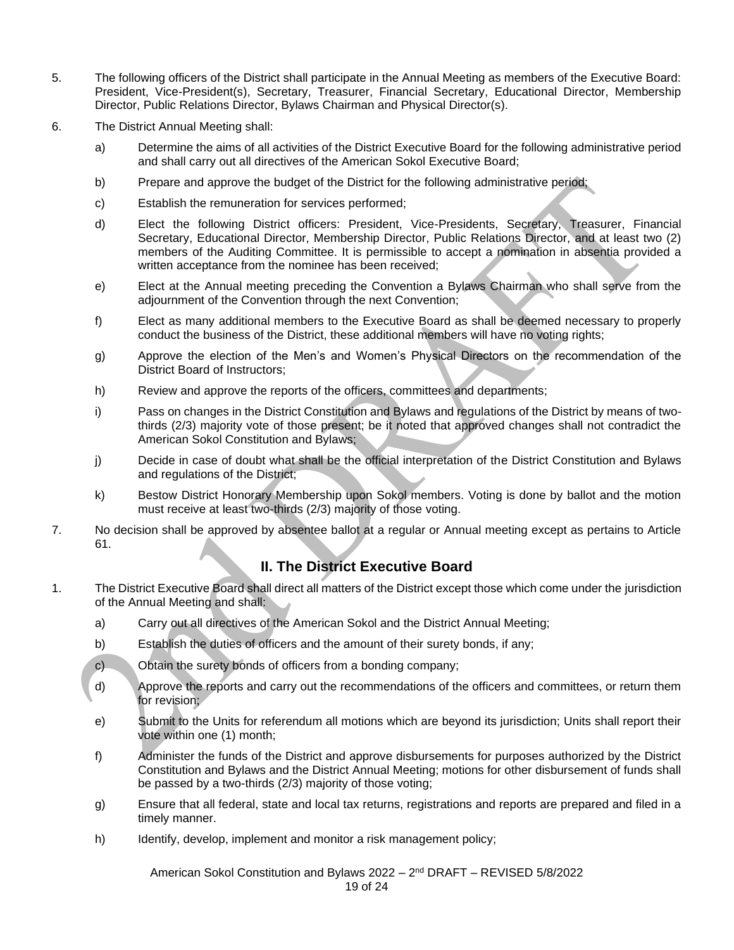- 5. The following officers of the District shall participate in the Annual Meeting as members of the Executive Board: President, Vice-President(s), Secretary, Treasurer, Financial Secretary, Educational Director, Membership Director, Public Relations Director, Bylaws Chairman and Physical Director(s).
- 6. The District Annual Meeting shall:
	- a) Determine the aims of all activities of the District Executive Board for the following administrative period and shall carry out all directives of the American Sokol Executive Board;
	- b) Prepare and approve the budget of the District for the following administrative period;
	- c) Establish the remuneration for services performed;
	- d) Elect the following District officers: President, Vice-Presidents, Secretary, Treasurer, Financial Secretary, Educational Director, Membership Director, Public Relations Director, and at least two (2) members of the Auditing Committee. It is permissible to accept a nomination in absentia provided a written acceptance from the nominee has been received;
	- e) Elect at the Annual meeting preceding the Convention a Bylaws Chairman who shall serve from the adjournment of the Convention through the next Convention;
	- f) Elect as many additional members to the Executive Board as shall be deemed necessary to properly conduct the business of the District, these additional members will have no voting rights;
	- g) Approve the election of the Men's and Women's Physical Directors on the recommendation of the District Board of Instructors;
	- h) Review and approve the reports of the officers, committees and departments;
	- i) Pass on changes in the District Constitution and Bylaws and regulations of the District by means of twothirds (2/3) majority vote of those present; be it noted that approved changes shall not contradict the American Sokol Constitution and Bylaws;
	- j) Decide in case of doubt what shall be the official interpretation of the District Constitution and Bylaws and regulations of the District;
	- k) Bestow District Honorary Membership upon Sokol members. Voting is done by ballot and the motion must receive at least two-thirds (2/3) majority of those voting.
- 7. No decision shall be approved by absentee ballot at a regular or Annual meeting except as pertains to Article 61.

#### **II. The District Executive Board**

- 1. The District Executive Board shall direct all matters of the District except those which come under the jurisdiction of the Annual Meeting and shall:
	- a) Carry out all directives of the American Sokol and the District Annual Meeting;
	- b) Establish the duties of officers and the amount of their surety bonds, if any;
	- c) Obtain the surety bonds of officers from a bonding company;
	- d) Approve the reports and carry out the recommendations of the officers and committees, or return them for revision;
	- e) Submit to the Units for referendum all motions which are beyond its jurisdiction; Units shall report their vote within one (1) month;
	- f) Administer the funds of the District and approve disbursements for purposes authorized by the District Constitution and Bylaws and the District Annual Meeting; motions for other disbursement of funds shall be passed by a two-thirds (2/3) majority of those voting;
	- g) Ensure that all federal, state and local tax returns, registrations and reports are prepared and filed in a timely manner.
	- h) Identify, develop, implement and monitor a risk management policy;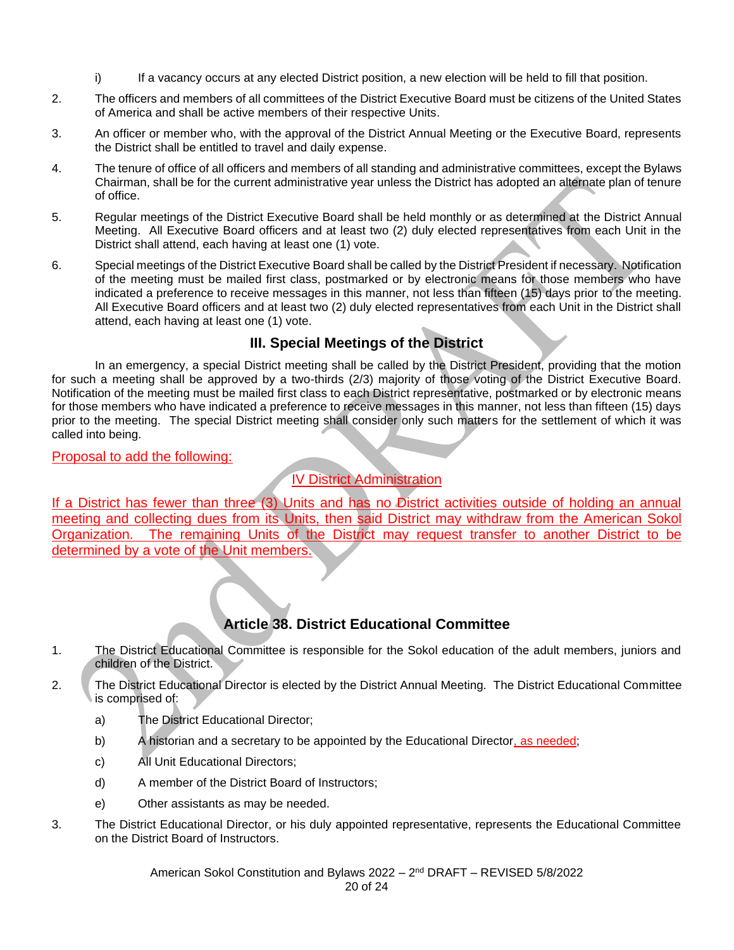- i) If a vacancy occurs at any elected District position, a new election will be held to fill that position.
- 2. The officers and members of all committees of the District Executive Board must be citizens of the United States of America and shall be active members of their respective Units.
- 3. An officer or member who, with the approval of the District Annual Meeting or the Executive Board, represents the District shall be entitled to travel and daily expense.
- 4. The tenure of office of all officers and members of all standing and administrative committees, except the Bylaws Chairman, shall be for the current administrative year unless the District has adopted an alternate plan of tenure of office.
- 5. Regular meetings of the District Executive Board shall be held monthly or as determined at the District Annual Meeting. All Executive Board officers and at least two (2) duly elected representatives from each Unit in the District shall attend, each having at least one (1) vote.
- 6. Special meetings of the District Executive Board shall be called by the District President if necessary. Notification of the meeting must be mailed first class, postmarked or by electronic means for those members who have indicated a preference to receive messages in this manner, not less than fifteen (15) days prior to the meeting. All Executive Board officers and at least two (2) duly elected representatives from each Unit in the District shall attend, each having at least one (1) vote.

## **III. Special Meetings of the District**

In an emergency, a special District meeting shall be called by the District President, providing that the motion for such a meeting shall be approved by a two-thirds (2/3) majority of those voting of the District Executive Board. Notification of the meeting must be mailed first class to each District representative, postmarked or by electronic means for those members who have indicated a preference to receive messages in this manner, not less than fifteen (15) days prior to the meeting. The special District meeting shall consider only such matters for the settlement of which it was called into being.

#### Proposal to add the following:

## IV District Administration

If a District has fewer than three (3) Units and has no District activities outside of holding an annual meeting and collecting dues from its Units, then said District may withdraw from the American Sokol Organization. The remaining Units of the District may request transfer to another District to be determined by a vote of the Unit members.

## **Article 38. District Educational Committee**

- 1. The District Educational Committee is responsible for the Sokol education of the adult members, juniors and children of the District.
- 2. The District Educational Director is elected by the District Annual Meeting. The District Educational Committee is comprised of:
	- a) The District Educational Director;
	- b) A historian and a secretary to be appointed by the Educational Director, as needed;
	- c) All Unit Educational Directors;
	- d) A member of the District Board of Instructors;
	- e) Other assistants as may be needed.
- 3. The District Educational Director, or his duly appointed representative, represents the Educational Committee on the District Board of Instructors.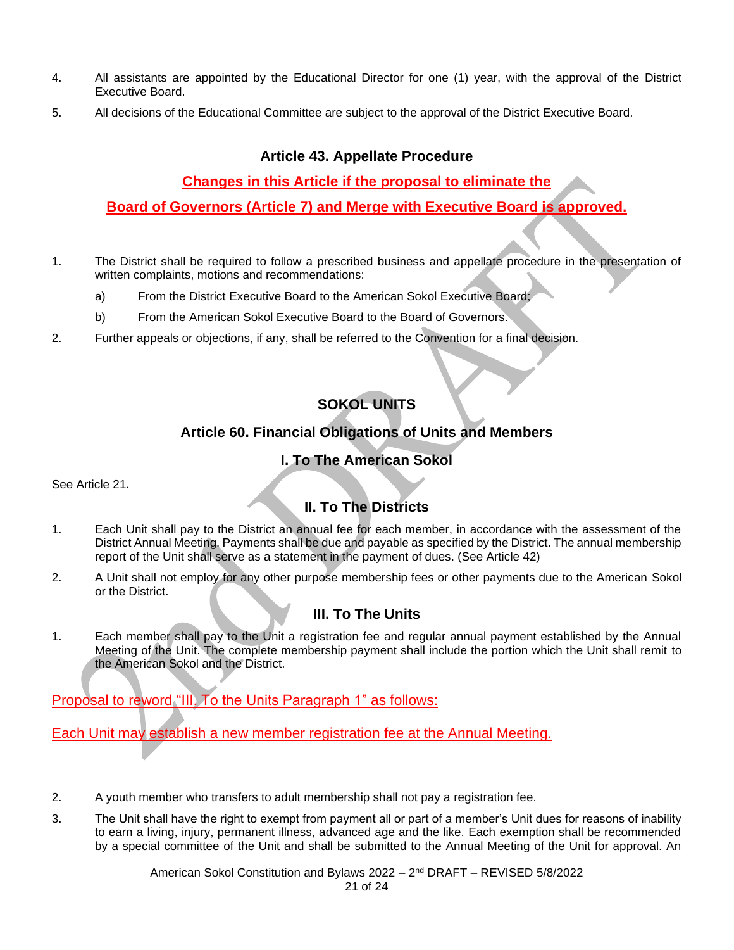- 4. All assistants are appointed by the Educational Director for one (1) year, with the approval of the District Executive Board.
- 5. All decisions of the Educational Committee are subject to the approval of the District Executive Board.

#### **Article 43. Appellate Procedure**

## **Changes in this Article if the proposal to eliminate the**

**Board of Governors (Article 7) and Merge with Executive Board is approved.**

- 1. The District shall be required to follow a prescribed business and appellate procedure in the presentation of written complaints, motions and recommendations:
	- a) From the District Executive Board to the American Sokol Executive Board;
	- b) From the American Sokol Executive Board to the Board of Governors.
- 2. Further appeals or objections, if any, shall be referred to the Convention for a final decision.

## **SOKOL UNITS**

## **Article 60. Financial Obligations of Units and Members**

## **I. To The American Sokol**

See Article 21*.*

## **II. To The Districts**

- 1. Each Unit shall pay to the District an annual fee for each member, in accordance with the assessment of the District Annual Meeting. Payments shall be due and payable as specified by the District. The annual membership report of the Unit shall serve as a statement in the payment of dues. (See Article 42)
- 2. A Unit shall not employ for any other purpose membership fees or other payments due to the American Sokol or the District.

## **III. To The Units**

1. Each member shall pay to the Unit a registration fee and regular annual payment established by the Annual Meeting of the Unit. The complete membership payment shall include the portion which the Unit shall remit to the American Sokol and the District.

Proposal to reword "III. To the Units Paragraph 1" as follows:

Each Unit may establish a new member registration fee at the Annual Meeting.

- 2. A youth member who transfers to adult membership shall not pay a registration fee.
- 3. The Unit shall have the right to exempt from payment all or part of a member's Unit dues for reasons of inability to earn a living, injury, permanent illness, advanced age and the like. Each exemption shall be recommended by a special committee of the Unit and shall be submitted to the Annual Meeting of the Unit for approval. An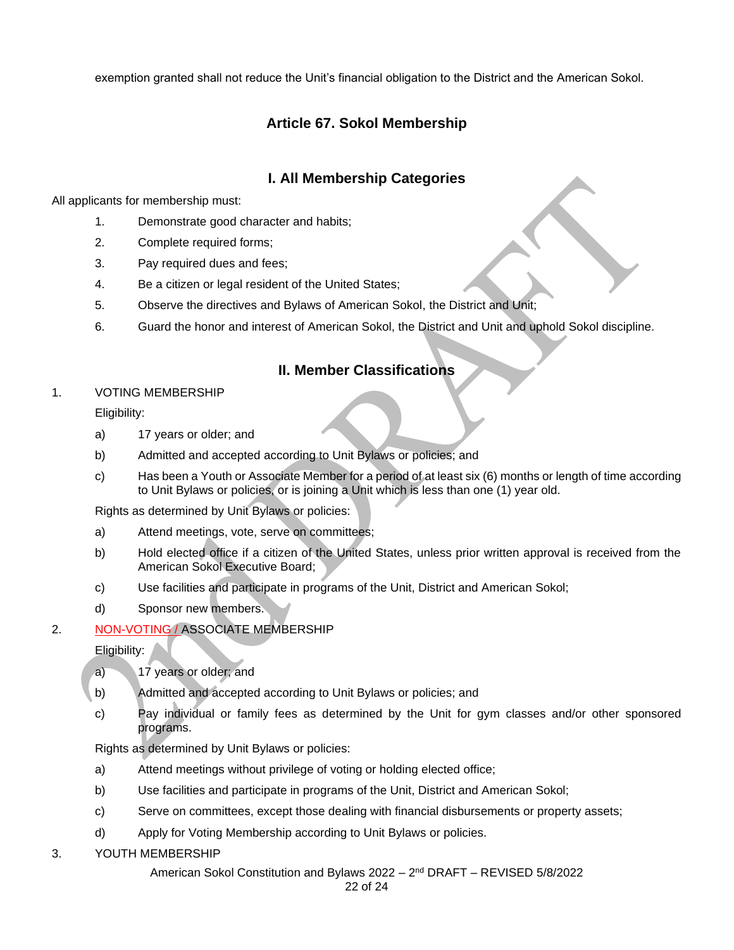exemption granted shall not reduce the Unit's financial obligation to the District and the American Sokol.

## **Article 67. Sokol Membership**

## **I. All Membership Categories**

All applicants for membership must:

- 1. Demonstrate good character and habits;
- 2. Complete required forms;
- 3. Pay required dues and fees;
- 4. Be a citizen or legal resident of the United States;
- 5. Observe the directives and Bylaws of American Sokol, the District and Unit;
- 6. Guard the honor and interest of American Sokol, the District and Unit and uphold Sokol discipline.

#### **II. Member Classifications**

#### 1. VOTING MEMBERSHIP

Eligibility:

- a) 17 years or older; and
- b) Admitted and accepted according to Unit Bylaws or policies; and
- c) Has been a Youth or Associate Member for a period of at least six (6) months or length of time according to Unit Bylaws or policies, or is joining a Unit which is less than one (1) year old.

Rights as determined by Unit Bylaws or policies:

- a) Attend meetings, vote, serve on committees;
- b) Hold elected office if a citizen of the United States, unless prior written approval is received from the American Sokol Executive Board;
- c) Use facilities and participate in programs of the Unit, District and American Sokol;
- d) Sponsor new members.

#### 2. NON-VOTING / ASSOCIATE MEMBERSHIP

Eligibility:

- a) 17 years or older; and
- b) Admitted and accepted according to Unit Bylaws or policies; and
- c) Pay individual or family fees as determined by the Unit for gym classes and/or other sponsored programs.

Rights as determined by Unit Bylaws or policies:

- a) Attend meetings without privilege of voting or holding elected office;
- b) Use facilities and participate in programs of the Unit, District and American Sokol;
- c) Serve on committees, except those dealing with financial disbursements or property assets;
- d) Apply for Voting Membership according to Unit Bylaws or policies.
- 3. YOUTH MEMBERSHIP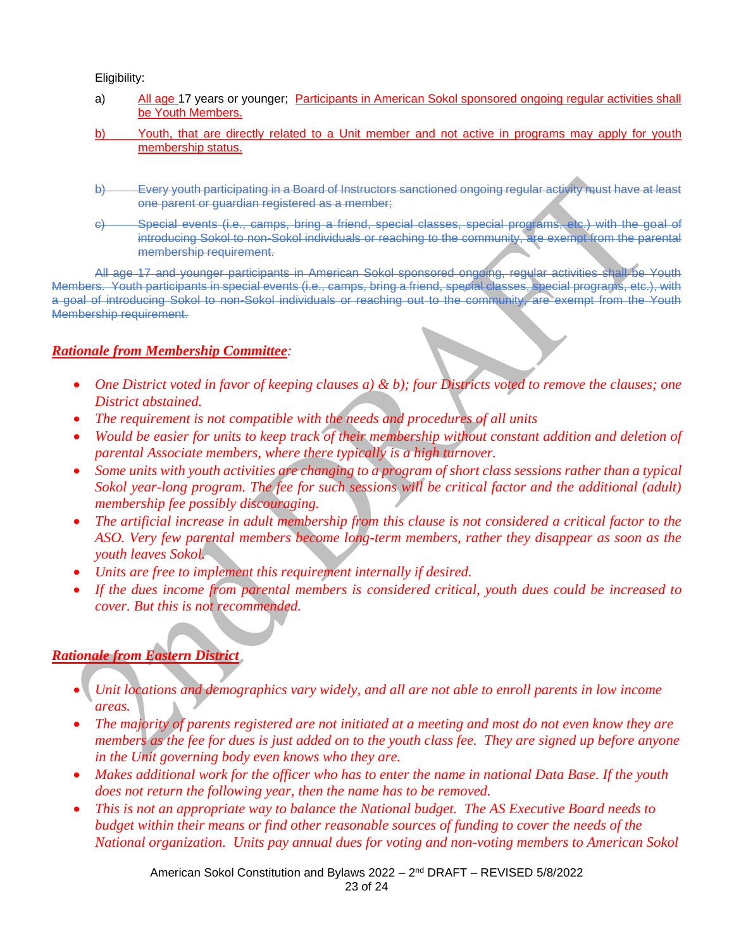Eligibility:

- a) All age 17 years or younger; Participants in American Sokol sponsored ongoing regular activities shall be Youth Members.
- b) Youth, that are directly related to a Unit member and not active in programs may apply for youth membership status.
- b) Every youth participating in a Board of Instructors sanctioned ongoing regular activity must have at least one parent or guardian registered as a member;
- c) Special events (i.e., camps, bring a friend, special classes, special programs, etc.) with the goal of introducing Sokol to non-Sokol individuals or reaching to the community, are exempt from the parental membership requirement.

All age 17 and younger participants in American Sokol sponsored ongoing, regular activities shall be Youth Members. Youth participants in special events (i.e., camps, bring a friend, special classes, special programs, etc.), with a goal of introducing Sokol to non-Sokol individuals or reaching out to the community, are exempt from the Youth Membership requirement.

#### *Rationale from Membership Committee:*

- *One District voted in favor of keeping clauses a) & b); four Districts voted to remove the clauses; one District abstained.*
- *The requirement is not compatible with the needs and procedures of all units*
- *Would be easier for units to keep track of their membership without constant addition and deletion of parental Associate members, where there typically is a high turnover.*
- *Some units with youth activities are changing to a program of short class sessions rather than a typical Sokol year-long program. The fee for such sessions will be critical factor and the additional (adult) membership fee possibly discouraging.*
- *The artificial increase in adult membership from this clause is not considered a critical factor to the ASO. Very few parental members become long-term members, rather they disappear as soon as the youth leaves Sokol.*
- *Units are free to implement this requirement internally if desired.*
- *If the dues income from parental members is considered critical, youth dues could be increased to cover. But this is not recommended.*

#### *Rationale from Eastern District*

- *Unit locations and demographics vary widely, and all are not able to enroll parents in low income areas.*
- *The majority of parents registered are not initiated at a meeting and most do not even know they are members as the fee for dues is just added on to the youth class fee. They are signed up before anyone in the Unit governing body even knows who they are.*
- Makes additional work for the officer who has to enter the name in national Data Base. If the youth *does not return the following year, then the name has to be removed.*
- *This is not an appropriate way to balance the National budget. The AS Executive Board needs to budget within their means or find other reasonable sources of funding to cover the needs of the National organization. Units pay annual dues for voting and non-voting members to American Sokol*